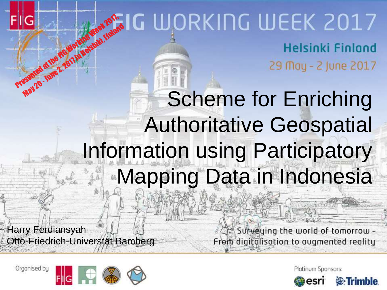## Presented at the FIG Working Week 2017, May 29 - June 2, 2011 in Helsinki, Finland<br>Seemed at the Figuro Marking Week , Finland **Helsinki Finland**

29 May - 2 June 2017

## Scheme for Enriching Authoritative Geospatial Information using Participatory Mapping Data in Indonesia

Harry Ferdiansyah Otto-Friedrich-Universtät Bamberg

Surveying the world of tomorrow -From digitalisation to augmented reality

Organised by



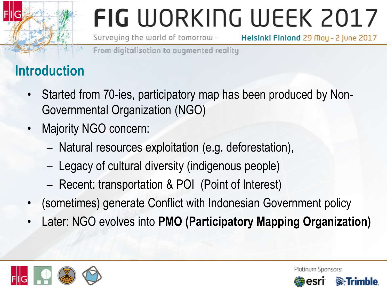Surveying the world of tomorrow -Helsinki Finland 29 May - 2 June 2017

From digitalisation to avamented reality

### **Introduction**

- Started from 70-ies, participatory map has been produced by Non-Governmental Organization (NGO)
- Majority NGO concern:
	- Natural resources exploitation (e.g. deforestation),
	- Legacy of cultural diversity (indigenous people)
	- Recent: transportation & POI (Point of Interest)
- (sometimes) generate Conflict with Indonesian Government policy
- Later: NGO evolves into **PMO (Participatory Mapping Organization)**



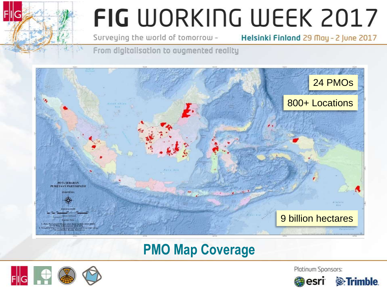Surveying the world of tomorrow -

Helsinki Finland 29 May - 2 June 2017

From digitalisation to augmented reality



### **PMO Map Coverage**



Platinum Sponsors:

<sup>2</sup>*<u>External</u>* 

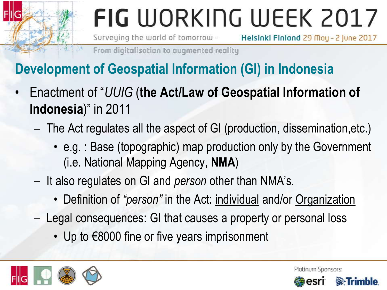Surveying the world of tomorrow -Helsinki Finland 29 May - 2 June 2017

From digitalisation to avamented reality

### **Development of Geospatial Information (GI) in Indonesia**

- Enactment of "*UUIG* (**the Act/Law of Geospatial Information of Indonesia**)" in 2011
	- The Act regulates all the aspect of GI (production, dissemination,etc.)
		- e.g. : Base (topographic) map production only by the Government (i.e. National Mapping Agency, **NMA**)
	- It also regulates on GI and *person* other than NMA's*.*
		- Definition of *"person"* in the Act: individual and/or Organization
	- Legal consequences: GI that causes a property or personal loss
		- Up to €8000 fine or five years imprisonment



Platinum Sponsors:

(S)

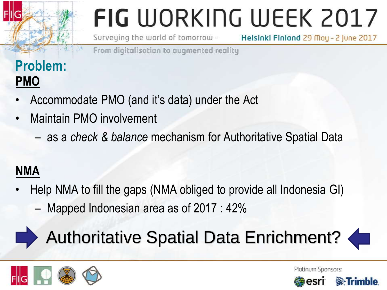Surveying the world of tomorrow -

Helsinki Finland 29 May - 2 June 2017

From digitalisation to avamented reality

### **Problem: PMO**

- Accommodate PMO (and it's data) under the Act
- Maintain PMO involvement
	- as a *check & balance* mechanism for Authoritative Spatial Data

### **NMA**

• Help NMA to fill the gaps (NMA obliged to provide all Indonesia GI) – Mapped Indonesian area as of 2017 : 42%

## Authoritative Spatial Data Enrichment?





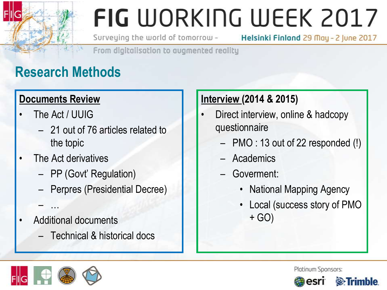Surveying the world of tomorrow -

Helsinki Finland 29 May - 2 June 2017

From digitalisation to avamented reality

### **Research Methods**

#### **Documents Review**

- The Act / UUIG
	- 21 out of 76 articles related to the topic
- The Act derivatives
	- PP (Govt' Regulation)
	- Perpres (Presidential Decree)
- Additional documents
	- Technical & historical docs

#### **Interview (2014 & 2015)**

- Direct interview, online & hadcopy questionnaire
	- PMO : 13 out of 22 responded (!)
	- Academics
	- Goverment:
		- National Mapping Agency
		- Local (success story of PMO + GO)



– …

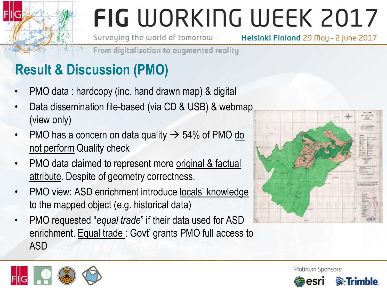Surveying the world of tomorrow -

Helsinki Finland 29 May - 2 June 2017

From digitalisation to avamented reality

### **Result & Discussion (PMO)**

- PMO data : hardcopy (inc. hand drawn map) & digital
- Data dissemination file-based (via CD & USB) & webmap (view only)
- PMO has a concern on data quality  $\rightarrow$  54% of PMO do not perform Quality check
- PMO data claimed to represent more original & factual attribute. Despite of geometry correctness.
- PMO view: ASD enrichment introduce locals' knowledge to the mapped object (e.g. historical data)
- PMO requested "*equal trade*" if their data used for ASD enrichment. Equal trade: Govt' grants PMO full access to ASD







**S**Trimble

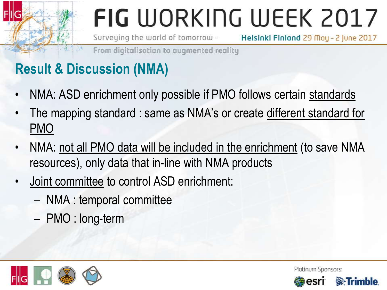Surveying the world of tomorrow -Helsinki Finland 29 May - 2 June 2017

From digitalisation to avamented reality

### **Result & Discussion (NMA)**

- NMA: ASD enrichment only possible if PMO follows certain standards
- The mapping standard : same as NMA's or create different standard for PMO
- NMA: not all PMO data will be included in the enrichment (to save NMA resources), only data that in-line with NMA products
- Joint committee to control ASD enrichment:
	- NMA : temporal committee
	- PMO : long-term



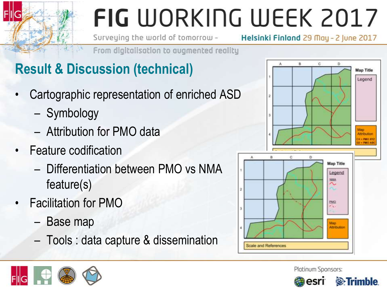Surveying the world of tomorrow -

Helsinki Finland 29 May - 2 June 2017

From digitalisation to augmented reality

### **Result & Discussion (technical)**

- Cartographic representation of enriched ASD
	- Symbology
	- Attribution for PMO data
- Feature codification
	- Differentiation between PMO vs NMA feature(s)
- Facilitation for PMO
	- Base map
	- Tools : data capture & dissemination





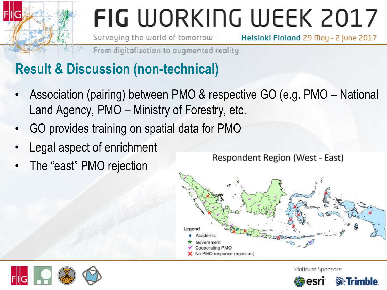Surveying the world of tomorrow -Helsinki Finland 29 May - 2 June 2017

From digitalisation to augmented reality

### **Result & Discussion (non-technical)**

- Association (pairing) between PMO & respective GO (e.g. PMO National Land Agency, PMO – Ministry of Forestry, etc.
- GO provides training on spatial data for PMO
- Legal aspect of enrichment
- The "east" PMO rejection

Respondent Region (West - East)